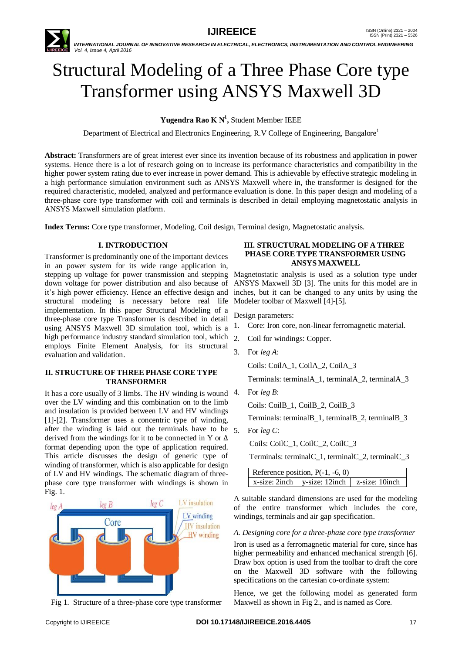

# Structural Modeling of a Three Phase Core type Transformer using ANSYS Maxwell 3D

**Yugendra Rao K N<sup>1</sup> ,** Student Member IEEE

Department of Electrical and Electronics Engineering, R.V College of Engineering, Bangalore<sup>1</sup>

**Abstract:** Transformers are of great interest ever since its invention because of its robustness and application in power systems. Hence there is a lot of research going on to increase its performance characteristics and compatibility in the higher power system rating due to ever increase in power demand. This is achievable by effective strategic modeling in a high performance simulation environment such as ANSYS Maxwell where in, the transformer is designed for the required characteristic, modeled, analyzed and performance evaluation is done. In this paper design and modeling of a three-phase core type transformer with coil and terminals is described in detail employing magnetostatic analysis in ANSYS Maxwell simulation platform.

**Index Terms:** Core type transformer, Modeling, Coil design, Terminal design, Magnetostatic analysis.

# **I. INTRODUCTION**

Transformer is predominantly one of the important devices in an power system for its wide range application in, stepping up voltage for power transmission and stepping Magnetostatic analysis is used as a solution type under down voltage for power distribution and also because of it's high power efficiency. Hence an effective design and structural modeling is necessary before real life implementation. In this paper Structural Modeling of a three-phase core type Transformer is described in detail using ANSYS Maxwell 3D simulation tool, which is a high performance industry standard simulation tool, which employs Finite Element Analysis, for its structural evaluation and validation.

## **II. STRUCTURE OF THREE PHASE CORE TYPE TRANSFORMER**

It has a core usually of 3 limbs. The HV winding is wound 4. over the LV winding and this combination on to the limb and insulation is provided between LV and HV windings [1]-[2]. Transformer uses a concentric type of winding, after the winding is laid out the terminals have to be  $5$ . derived from the windings for it to be connected in Y or ∆ format depending upon the type of application required. This article discusses the design of generic type of winding of transformer, which is also applicable for design of LV and HV windings. The schematic diagram of threephase core type transformer with windings is shown in Fig. 1.



Fig 1. Structure of a three-phase core type transformer

#### **III. STRUCTURAL MODELING OF A THREE PHASE CORE TYPE TRANSFORMER USING ANSYS MAXWELL**

ANSYS Maxwell 3D [3]. The units for this model are in inches, but it can be changed to any units by using the Modeler toolbar of Maxwell [4]-[5].

Design parameters:

- 1. Core: Iron core, non-linear ferromagnetic material.
- 2. Coil for windings: Copper.

3. For *leg A*:

Coils: CoilA\_1, CoilA\_2, CoilA\_3

Terminals: terminalA\_1, terminalA\_2, terminalA\_3

4. For *leg B*:

Coils: CoilB\_1, CoilB\_2, CoilB\_3

Terminals: terminalB\_1, terminalB\_2, terminalB\_3

5. For *leg C*:

Coils: CoilC\_1, CoilC\_2, CoilC\_3

Terminals: terminalC\_1, terminalC\_2, terminalC\_3

| Reference position, $P(-1, -6, 0)$ |                                                 |  |
|------------------------------------|-------------------------------------------------|--|
|                                    | x-size: 2inch   y-size: 12inch   z-size: 10inch |  |

A suitable standard dimensions are used for the modeling of the entire transformer which includes the core, windings, terminals and air gap specification.

*A. Designing core for a three-phase core type transformer*

Iron is used as a ferromagnetic material for core, since has higher permeability and enhanced mechanical strength [6]. Draw box option is used from the toolbar to draft the core on the Maxwell 3D software with the following specifications on the cartesian co-ordinate system:

Hence, we get the following model as generated form Maxwell as shown in Fig 2., and is named as Core.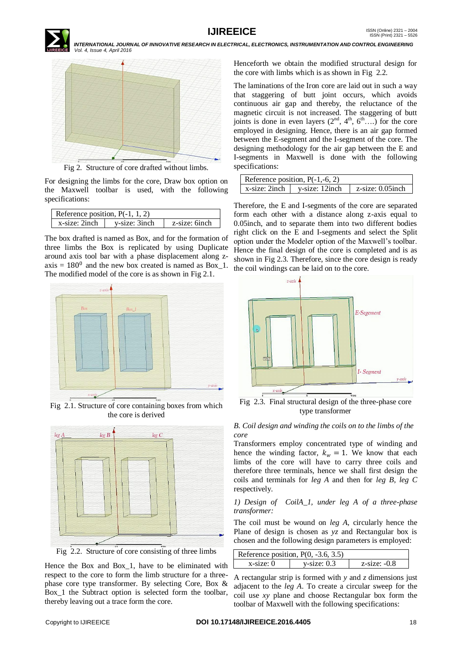



Fig 2. Structure of core drafted without limbs.

For designing the limbs for the core, Draw box option on the Maxwell toolbar is used, with the following specifications:

| Reference position, $P(-1, 1, 2)$ |               |               |  |
|-----------------------------------|---------------|---------------|--|
| x-size: 2inch                     | v-size: 3inch | z-size: 6inch |  |

The box drafted is named as Box, and for the formation of three limbs the Box is replicated by using Duplicate around axis tool bar with a phase displacement along z $axis = 180^0$  and the new box created is named as Box\_1. The modified model of the core is as shown in Fig 2.1.



Fig 2.1. Structure of core containing boxes from which the core is derived



Fig 2.2. Structure of core consisting of three limbs

Hence the Box and Box\_1, have to be eliminated with respect to the core to form the limb structure for a threephase core type transformer. By selecting Core, Box & Box 1 the Subtract option is selected form the toolbar, thereby leaving out a trace form the core.

Henceforth we obtain the modified structural design for the core with limbs which is as shown in Fig 2.2.

The laminations of the Iron core are laid out in such a way that staggering of butt joint occurs, which avoids continuous air gap and thereby, the reluctance of the magnetic circuit is not increased. The staggering of butt joints is done in even layers  $(2<sup>nd</sup>, 4<sup>th</sup>, 6<sup>th</sup>....)$  for the core employed in designing. Hence, there is an air gap formed between the E-segment and the I-segment of the core. The designing methodology for the air gap between the E and I-segments in Maxwell is done with the following specifications:

| Reference position, $P(-1,-6, 2)$ |                |                   |
|-----------------------------------|----------------|-------------------|
| x-size: 2inch                     | v-size: 12inch | z-size: 0.05 inch |

Therefore, the E and I-segments of the core are separated form each other with a distance along z-axis equal to 0.05inch, and to separate them into two different bodies right click on the E and I-segments and select the Split option under the Modeler option of the Maxwell's toolbar. Hence the final design of the core is completed and is as shown in Fig 2.3. Therefore, since the core design is ready the coil windings can be laid on to the core.



Fig 2.3. Final structural design of the three-phase core type transformer

# *B. Coil design and winding the coils on to the limbs of the core*

Transformers employ concentrated type of winding and hence the winding factor,  $k_w = 1$ . We know that each limbs of the core will have to carry three coils and therefore three terminals, hence we shall first design the coils and terminals for *leg A* and then for *leg B*, *leg C* respectively.

# *1) Design of CoilA\_1, under leg A of a three-phase transformer:*

The coil must be wound on *leg A*, circularly hence the Plane of design is chosen as *yz* and Rectangular box is chosen and the following design parameters is employed:

| Reference position, $P(0, -3.6, 3.5)$ |                |                   |
|---------------------------------------|----------------|-------------------|
| $x\text{-size}$ : 0                   | $y$ -size: 0.3 | $z$ -size: $-0.8$ |

A rectangular strip is formed with *y* and *z* dimensions just adjacent to the *leg A*. To create a circular sweep for the coil use *xy* plane and choose Rectangular box form the toolbar of Maxwell with the following specifications: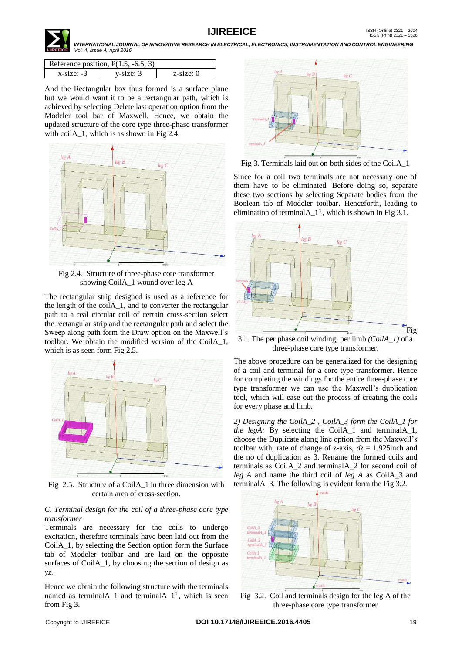

| Reference position, $P(1.5, -6.5, 3)$ |                |           |
|---------------------------------------|----------------|-----------|
| $x$ -size $-3$                        | $v$ -size: $3$ | z-size: 0 |

And the Rectangular box thus formed is a surface plane but we would want it to be a rectangular path, which is achieved by selecting Delete last operation option from the Modeler tool bar of Maxwell. Hence, we obtain the updated structure of the core type three-phase transformer with coilA<sub>1</sub>, which is as shown in Fig 2.4.



Fig 2.4. Structure of three-phase core transformer showing CoilA 1 wound over leg A

The rectangular strip designed is used as a reference for the length of the coilA\_1, and to converter the rectangular path to a real circular coil of certain cross-section select the rectangular strip and the rectangular path and select the Sweep along path form the Draw option on the Maxwell's toolbar. We obtain the modified version of the CoilA\_1, which is as seen form Fig 2.5.



Fig 2.5. Structure of a CoilA\_1 in three dimension with certain area of cross-section.

## *C. Terminal design for the coil of a three-phase core type transformer*

Terminals are necessary for the coils to undergo excitation, therefore terminals have been laid out from the CoilA\_1, by selecting the Section option form the Surface tab of Modeler toolbar and are laid on the opposite surfaces of CoilA\_1, by choosing the section of design as *yz*.

Hence we obtain the following structure with the terminals named as terminal $A_1$  and terminal $A_1$ <sup>1</sup>, which is seen from Fig 3.



Fig 3. Terminals laid out on both sides of the CoilA\_1

Since for a coil two terminals are not necessary one of them have to be eliminated. Before doing so, separate these two sections by selecting Separate bodies from the Boolean tab of Modeler toolbar. Henceforth, leading to elimination of terminal $A_1^1$ , which is shown in Fig 3.1.



3.1. The per phase coil winding, per limb *(CoilA\_1)* of a three-phase core type transformer.

The above procedure can be generalized for the designing of a coil and terminal for a core type transformer. Hence for completing the windings for the entire three-phase core type transformer we can use the Maxwell's duplication tool, which will ease out the process of creating the coils for every phase and limb.

*2) Designing the CoilA\_2 , CoilA\_3 form the CoilA\_1 for the legA:* By selecting the CoilA\_1 and terminalA\_1, choose the Duplicate along line option from the Maxwell's toolbar with, rate of change of z-axis,  $dz = 1.925$ inch and the no of duplication as 3. Rename the formed coils and terminals as CoilA\_2 and terminalA\_2 for second coil of *leg A* and name the third coil of *leg A* as CoilA\_3 and terminalA\_3. The following is evident form the Fig 3.2.



Fig 3.2. Coil and terminals design for the leg A of the three-phase core type transformer